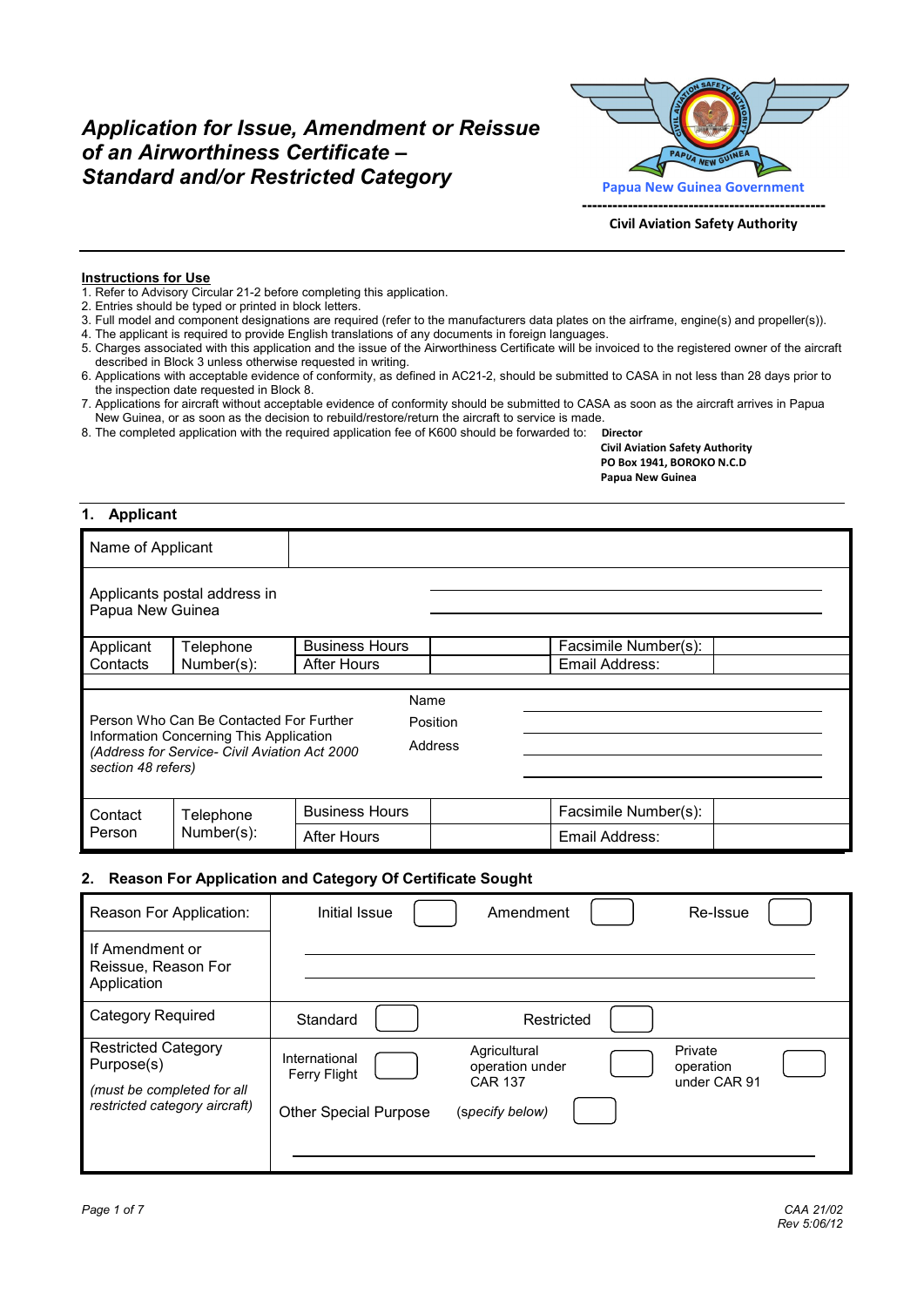# *Application for Issue, Amendment or Reissue of an Airworthiness Certificate –*  **Standard and/or Restricted Category Papua New Guinea Government**



**Civil Aviation Safety Authority**

#### **Instructions for Use**

- 1. Refer to Advisory Circular 21-2 before completing this application.
- 2. Entries should be typed or printed in block letters.
- 3. Full model and component designations are required (refer to the manufacturers data plates on the airframe, engine(s) and propeller(s)).
- 4. The applicant is required to provide English translations of any documents in foreign languages.
- 5. Charges associated with this application and the issue of the Airworthiness Certificate will be invoiced to the registered owner of the aircraft described in Block 3 unless otherwise requested in writing.
- 6. Applications with acceptable evidence of conformity, as defined in AC21-2, should be submitted to CASA in not less than 28 days prior to the inspection date requested in Block 8.
- 7. Applications for aircraft without acceptable evidence of conformity should be submitted to CASA as soon as the aircraft arrives in Papua New Guinea, or as soon as the decision to rebuild/restore/return the aircraft to service is made.
- 8. The completed application with the required application fee of K600 should be forwarded to: **Director**

 **Civil Aviation Safety Authority PO Box 1941, BOROKO N.C.D Papua New Guinea** 

#### **1. Applicant**

| Name of Applicant                                                                                                                                                                |                              |                       |                      |
|----------------------------------------------------------------------------------------------------------------------------------------------------------------------------------|------------------------------|-----------------------|----------------------|
| Papua New Guinea                                                                                                                                                                 | Applicants postal address in |                       |                      |
| Applicant                                                                                                                                                                        | Telephone                    | <b>Business Hours</b> | Facsimile Number(s): |
| Contacts                                                                                                                                                                         | Number(s):                   | <b>After Hours</b>    | Email Address:       |
|                                                                                                                                                                                  |                              |                       |                      |
|                                                                                                                                                                                  |                              | Name                  |                      |
| Person Who Can Be Contacted For Further<br>Position<br>Information Concerning This Application<br>Address<br>(Address for Service- Civil Aviation Act 2000<br>section 48 refers) |                              |                       |                      |
| Contact<br>Telephone<br>Number(s):<br>Person                                                                                                                                     |                              | <b>Business Hours</b> | Facsimile Number(s): |
|                                                                                                                                                                                  |                              | <b>After Hours</b>    | Email Address:       |

#### **2. Reason For Application and Category Of Certificate Sought**

| Reason For Application:                                                                                 | Initial Issue<br>Amendment<br>Re-Issue                                                                                                                                        |
|---------------------------------------------------------------------------------------------------------|-------------------------------------------------------------------------------------------------------------------------------------------------------------------------------|
| If Amendment or<br>Reissue, Reason For<br>Application                                                   |                                                                                                                                                                               |
| Category Required                                                                                       | Standard<br>Restricted                                                                                                                                                        |
| <b>Restricted Category</b><br>Purpose(s)<br>(must be completed for all<br>restricted category aircraft) | Private<br>Agricultural<br>International<br>operation under<br>operation<br>Ferry Flight<br><b>CAR 137</b><br>under CAR 91<br>(specify below)<br><b>Other Special Purpose</b> |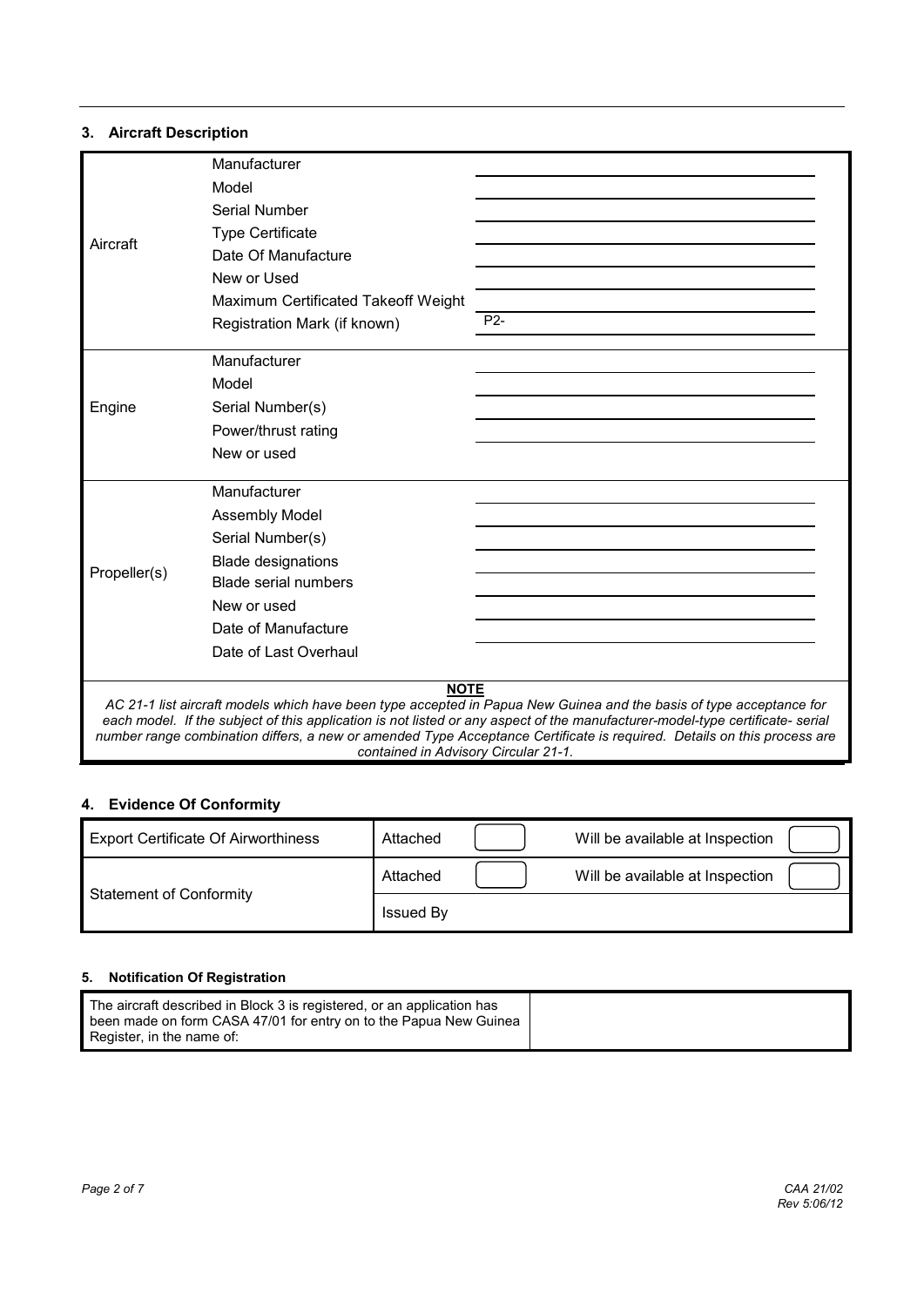#### **3. Aircraft Description**

|              | Manufacturer                        |                                                                                                                                                                                                                                                                                                                                                                                 |
|--------------|-------------------------------------|---------------------------------------------------------------------------------------------------------------------------------------------------------------------------------------------------------------------------------------------------------------------------------------------------------------------------------------------------------------------------------|
|              | Model                               |                                                                                                                                                                                                                                                                                                                                                                                 |
|              | Serial Number                       |                                                                                                                                                                                                                                                                                                                                                                                 |
| Aircraft     | <b>Type Certificate</b>             |                                                                                                                                                                                                                                                                                                                                                                                 |
|              | Date Of Manufacture                 |                                                                                                                                                                                                                                                                                                                                                                                 |
|              | New or Used                         |                                                                                                                                                                                                                                                                                                                                                                                 |
|              | Maximum Certificated Takeoff Weight |                                                                                                                                                                                                                                                                                                                                                                                 |
|              | Registration Mark (if known)        | P <sub>2</sub> -                                                                                                                                                                                                                                                                                                                                                                |
|              | Manufacturer                        |                                                                                                                                                                                                                                                                                                                                                                                 |
|              | Model                               |                                                                                                                                                                                                                                                                                                                                                                                 |
| Engine       | Serial Number(s)                    |                                                                                                                                                                                                                                                                                                                                                                                 |
|              | Power/thrust rating                 |                                                                                                                                                                                                                                                                                                                                                                                 |
|              | New or used                         |                                                                                                                                                                                                                                                                                                                                                                                 |
|              | Manufacturer                        |                                                                                                                                                                                                                                                                                                                                                                                 |
|              | <b>Assembly Model</b>               |                                                                                                                                                                                                                                                                                                                                                                                 |
|              | Serial Number(s)                    |                                                                                                                                                                                                                                                                                                                                                                                 |
|              | <b>Blade designations</b>           |                                                                                                                                                                                                                                                                                                                                                                                 |
| Propeller(s) | <b>Blade serial numbers</b>         |                                                                                                                                                                                                                                                                                                                                                                                 |
|              | New or used                         |                                                                                                                                                                                                                                                                                                                                                                                 |
|              | Date of Manufacture                 |                                                                                                                                                                                                                                                                                                                                                                                 |
|              | Date of Last Overhaul               |                                                                                                                                                                                                                                                                                                                                                                                 |
|              | <b>NOTE</b>                         | AC 21-1 list aircraft models which have been type accepted in Papua New Guinea and the basis of type acceptance for<br>each model. If the subject of this application is not listed or any aspect of the manufacturer-model-type certificate- serial<br>number range combination differs, a new or amended Type Acceptance Certificate is required. Details on this process are |

## **4. Evidence Of Conformity**

| <b>Export Certificate Of Airworthiness</b> | Attached         | Will be available at Inspection |  |
|--------------------------------------------|------------------|---------------------------------|--|
| <b>Statement of Conformity</b>             | Attached         | Will be available at Inspection |  |
|                                            | <b>Issued By</b> |                                 |  |

*contained in Advisory Circular 21-1.* 

#### **5. Notification Of Registration**

| The aircraft described in Block 3 is registered, or an application has<br>been made on form CASA 47/01 for entry on to the Papua New Guinea<br>Register, in the name of: |  |
|--------------------------------------------------------------------------------------------------------------------------------------------------------------------------|--|
|--------------------------------------------------------------------------------------------------------------------------------------------------------------------------|--|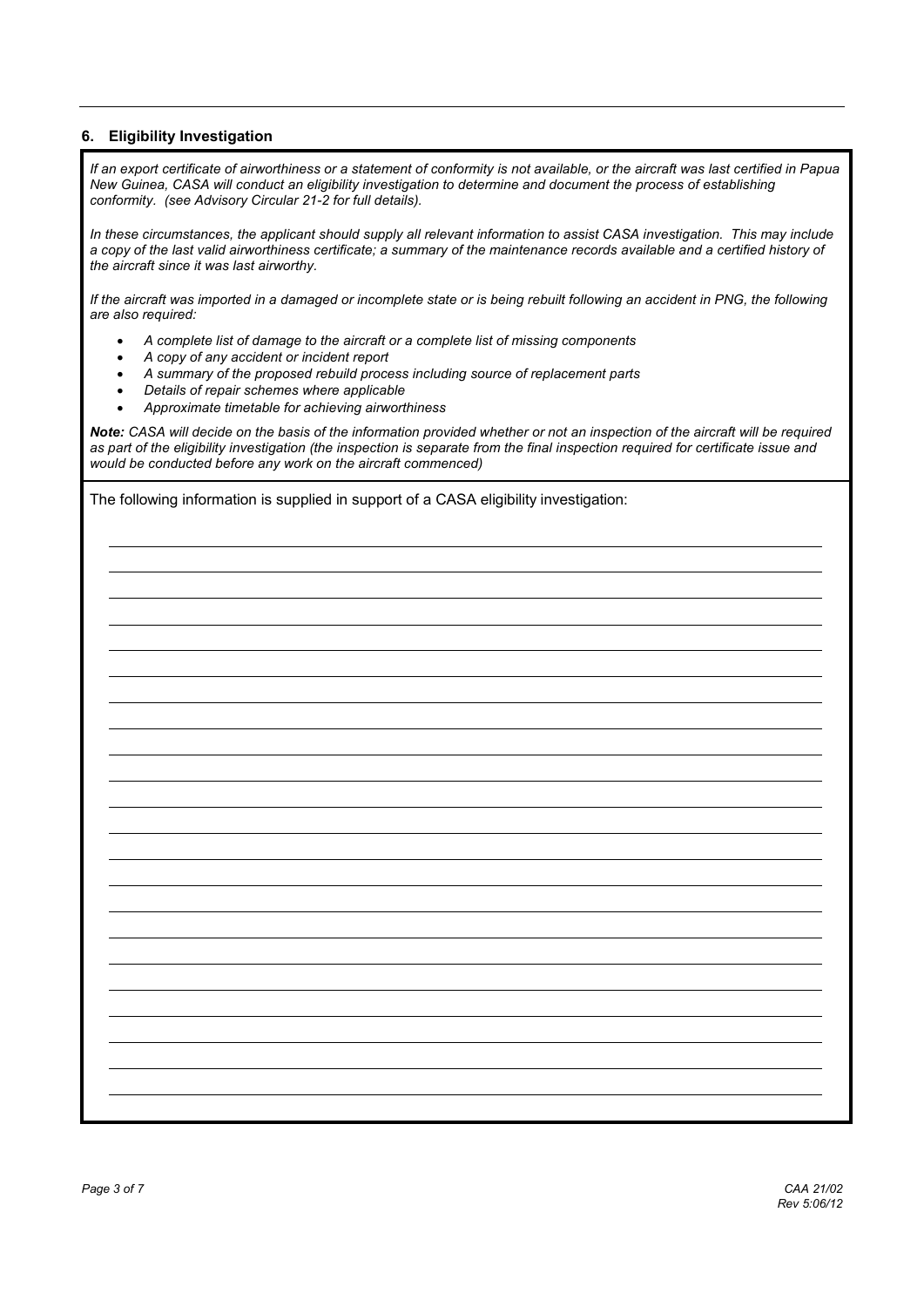#### **6. Eligibility Investigation**

*If an export certificate of airworthiness or a statement of conformity is not available, or the aircraft was last certified in Papua New Guinea, CASA will conduct an eligibility investigation to determine and document the process of establishing conformity. (see Advisory Circular 21-2 for full details).* 

*In these circumstances, the applicant should supply all relevant information to assist CASA investigation. This may include a copy of the last valid airworthiness certificate; a summary of the maintenance records available and a certified history of the aircraft since it was last airworthy.* 

*If the aircraft was imported in a damaged or incomplete state or is being rebuilt following an accident in PNG, the following are also required:* 

- *A complete list of damage to the aircraft or a complete list of missing components*
- *A copy of any accident or incident report*
- *A summary of the proposed rebuild process including source of replacement parts*
- *Details of repair schemes where applicable*
- *Approximate timetable for achieving airworthiness*

*Note: CASA will decide on the basis of the information provided whether or not an inspection of the aircraft will be required as part of the eligibility investigation (the inspection is separate from the final inspection required for certificate issue and would be conducted before any work on the aircraft commenced)*

The following information is supplied in support of a CASA eligibility investigation: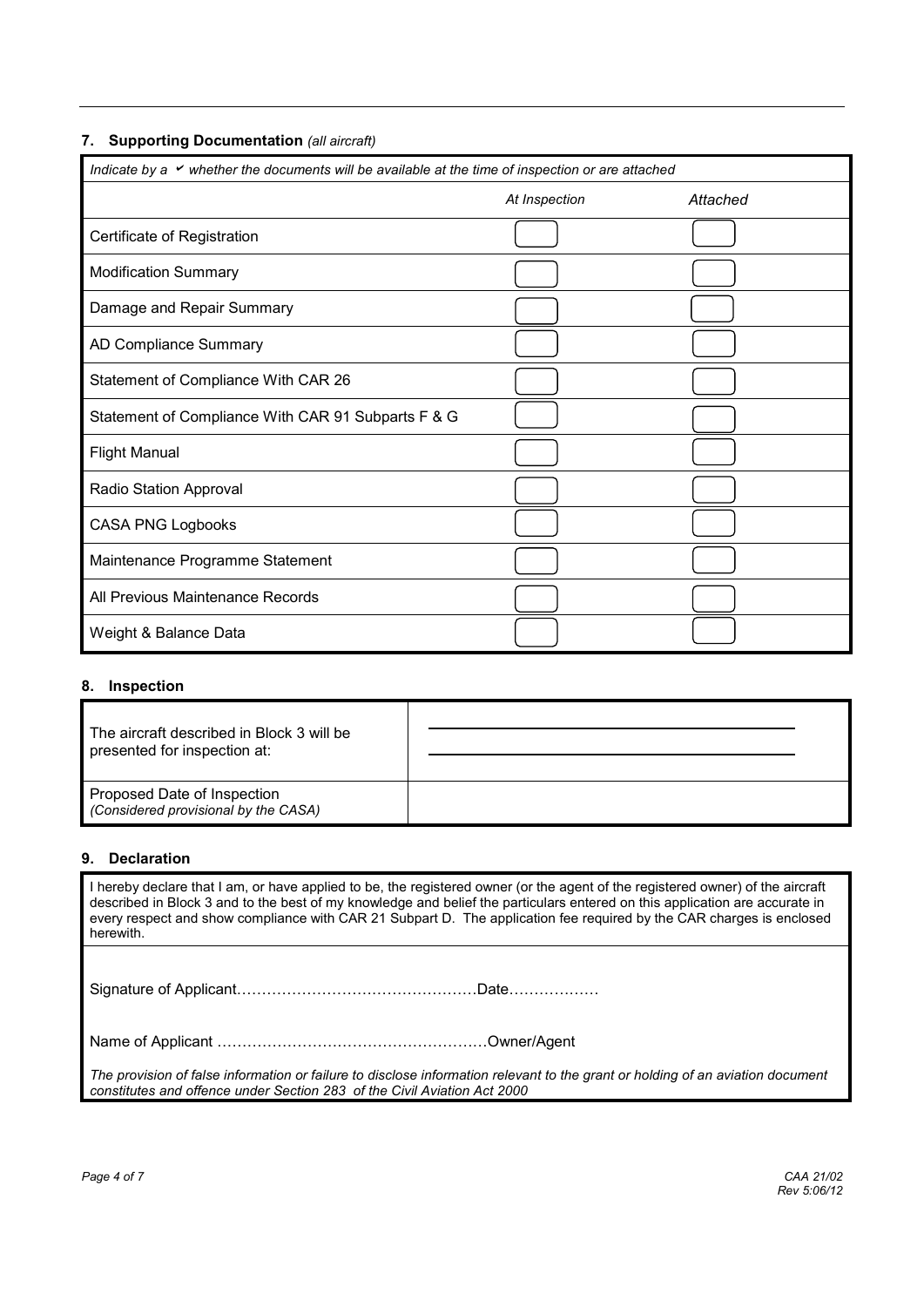#### **7. Supporting Documentation** *(all aircraft)*

| Indicate by a $\checkmark$ whether the documents will be available at the time of inspection or are attached |               |          |  |
|--------------------------------------------------------------------------------------------------------------|---------------|----------|--|
|                                                                                                              | At Inspection | Attached |  |
| Certificate of Registration                                                                                  |               |          |  |
| <b>Modification Summary</b>                                                                                  |               |          |  |
| Damage and Repair Summary                                                                                    |               |          |  |
| AD Compliance Summary                                                                                        |               |          |  |
| Statement of Compliance With CAR 26                                                                          |               |          |  |
| Statement of Compliance With CAR 91 Subparts F & G                                                           |               |          |  |
| <b>Flight Manual</b>                                                                                         |               |          |  |
| Radio Station Approval                                                                                       |               |          |  |
| <b>CASA PNG Logbooks</b>                                                                                     |               |          |  |
| Maintenance Programme Statement                                                                              |               |          |  |
| All Previous Maintenance Records                                                                             |               |          |  |
| Weight & Balance Data                                                                                        |               |          |  |

#### **8. Inspection**

| The aircraft described in Block 3 will be<br>presented for inspection at: |  |
|---------------------------------------------------------------------------|--|
| Proposed Date of Inspection<br>(Considered provisional by the CASA)       |  |

#### **9. Declaration**

I hereby declare that I am, or have applied to be, the registered owner (or the agent of the registered owner) of the aircraft described in Block 3 and to the best of my knowledge and belief the particulars entered on this application are accurate in every respect and show compliance with CAR 21 Subpart D. The application fee required by the CAR charges is enclosed herewith.

Signature of Applicant@@@@@@@@@@@@@@@@Date@@@@@@

Name of Applicant @@@@@@@@@@@@@@@@@@Owner/Agent

*The provision of false information or failure to disclose information relevant to the grant or holding of an aviation document constitutes and offence under Section 283 of the Civil Aviation Act 2000*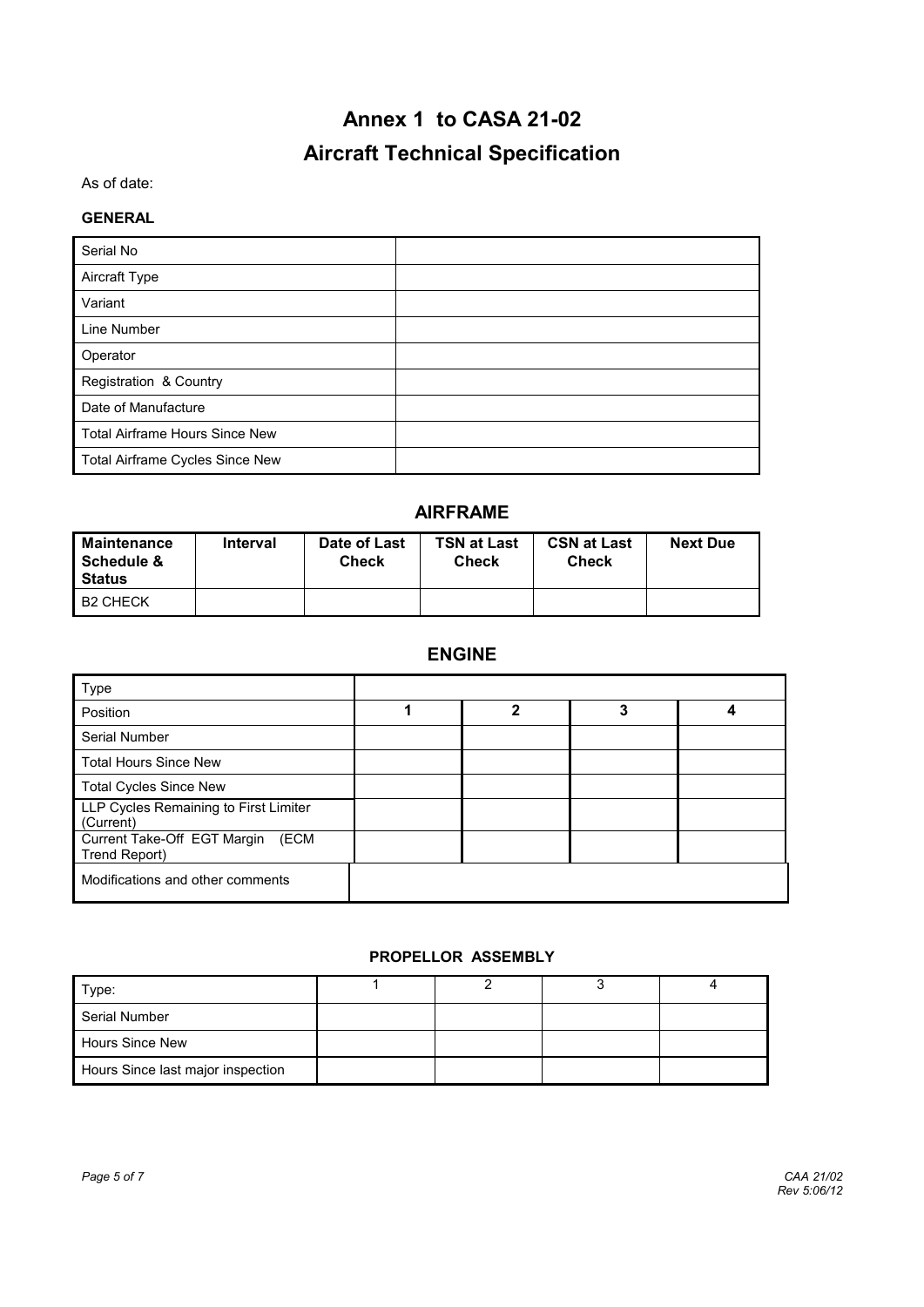# **Annex 1 to CASA 21-02 Aircraft Technical Specification**

#### As of date:

#### **GENERAL**

| Serial No                             |  |
|---------------------------------------|--|
| Aircraft Type                         |  |
| Variant                               |  |
| Line Number                           |  |
| Operator                              |  |
| Registration & Country                |  |
| Date of Manufacture                   |  |
| <b>Total Airframe Hours Since New</b> |  |
| Total Airframe Cycles Since New       |  |

#### **AIRFRAME**

| Maintenance<br>Schedule &<br>Status | Interval | Date of Last<br><b>Check</b> | <b>TSN at Last</b><br><b>Check</b> | <b>CSN at Last</b><br>Check | <b>Next Due</b> |
|-------------------------------------|----------|------------------------------|------------------------------------|-----------------------------|-----------------|
| <b>B2 CHECK</b>                     |          |                              |                                    |                             |                 |

## **ENGINE**

| Type                                                 |   |   |  |
|------------------------------------------------------|---|---|--|
| Position                                             | 2 | 3 |  |
| Serial Number                                        |   |   |  |
| <b>Total Hours Since New</b>                         |   |   |  |
| <b>Total Cycles Since New</b>                        |   |   |  |
| LLP Cycles Remaining to First Limiter<br>(Current)   |   |   |  |
| Current Take-Off EGT Margin<br>(ECM<br>Trend Report) |   |   |  |
| Modifications and other comments                     |   |   |  |

#### **PROPELLOR ASSEMBLY**

| Type:                             |  |  |
|-----------------------------------|--|--|
| Serial Number                     |  |  |
| <b>Hours Since New</b>            |  |  |
| Hours Since last major inspection |  |  |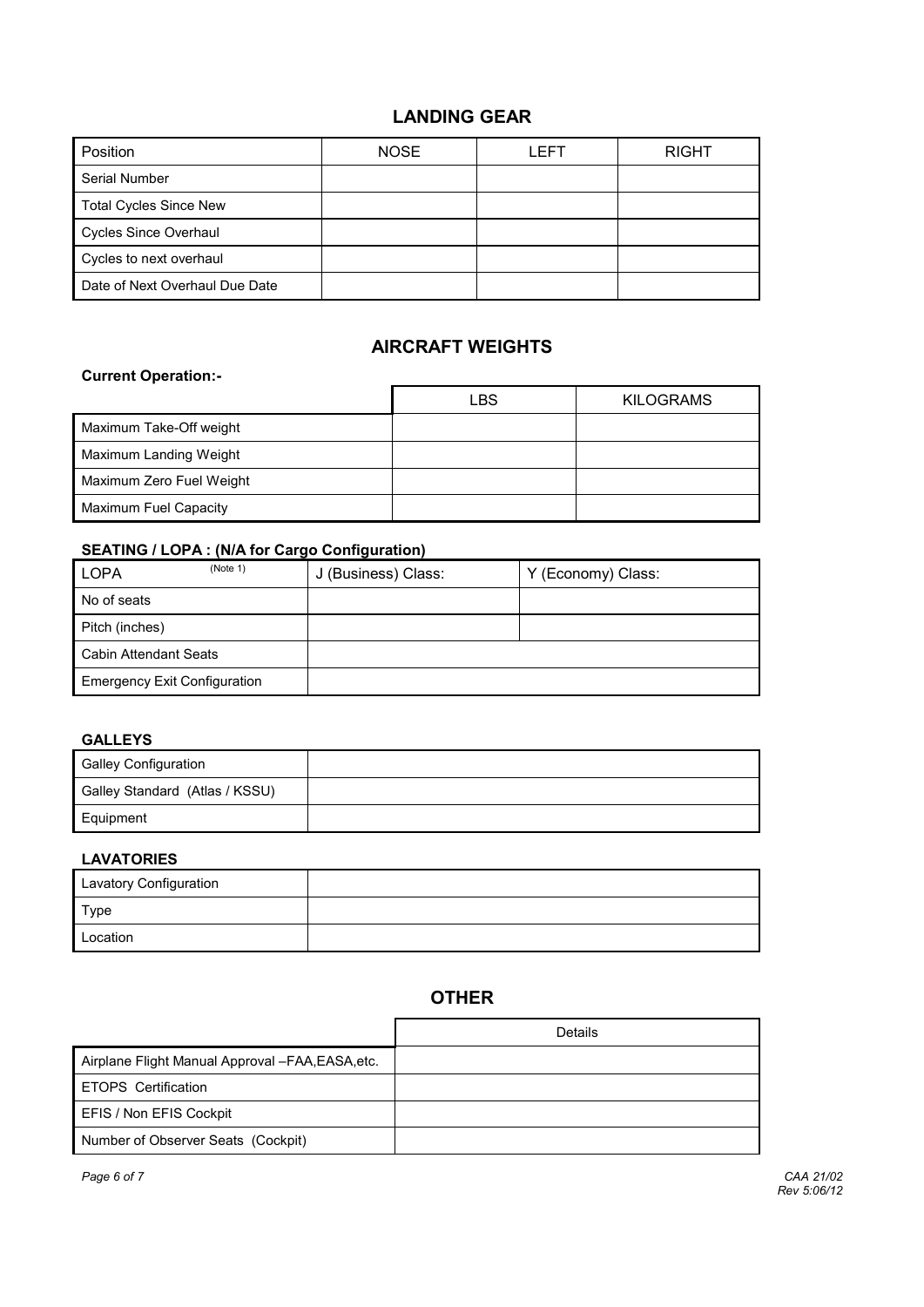## **LANDING GEAR**

| Position                       | <b>NOSE</b> | <b>FFT</b> | <b>RIGHT</b> |
|--------------------------------|-------------|------------|--------------|
| <b>Serial Number</b>           |             |            |              |
| <b>Total Cycles Since New</b>  |             |            |              |
| <b>Cycles Since Overhaul</b>   |             |            |              |
| Cycles to next overhaul        |             |            |              |
| Date of Next Overhaul Due Date |             |            |              |

## **AIRCRAFT WEIGHTS**

#### **Current Operation:-**

|                          | LBS | <b>KILOGRAMS</b> |
|--------------------------|-----|------------------|
| Maximum Take-Off weight  |     |                  |
| Maximum Landing Weight   |     |                  |
| Maximum Zero Fuel Weight |     |                  |
| Maximum Fuel Capacity    |     |                  |

#### **SEATING / LOPA : (N/A for Cargo Configuration)**

| (Note 1)<br><b>LOPA</b>             | J (Business) Class: | Y (Economy) Class: |
|-------------------------------------|---------------------|--------------------|
| No of seats                         |                     |                    |
| Pitch (inches)                      |                     |                    |
| Cabin Attendant Seats               |                     |                    |
| <b>Emergency Exit Configuration</b> |                     |                    |

#### **GALLEYS**

| <b>Galley Configuration</b>    |  |
|--------------------------------|--|
| Galley Standard (Atlas / KSSU) |  |
| Equipment                      |  |

#### **LAVATORIES**

| Lavatory Configuration |  |
|------------------------|--|
| Type                   |  |
| Location               |  |

## **OTHER**

|                                                  | Details |
|--------------------------------------------------|---------|
| Airplane Flight Manual Approval -FAA, EASA, etc. |         |
| ETOPS Certification                              |         |
| EFIS / Non EFIS Cockpit                          |         |
| Number of Observer Seats (Cockpit)               |         |